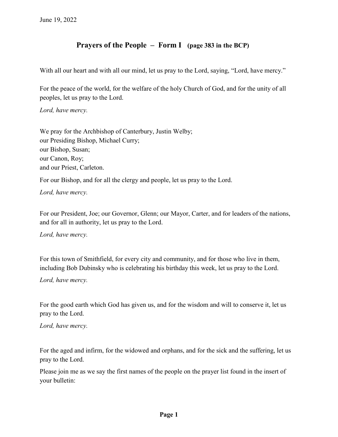## **Prayers of the People – Form I (page 383 in the BCP)**

With all our heart and with all our mind, let us pray to the Lord, saying, "Lord, have mercy."

For the peace of the world, for the welfare of the holy Church of God, and for the unity of all peoples, let us pray to the Lord.

*Lord, have mercy.*

We pray for the Archbishop of Canterbury, Justin Welby; our Presiding Bishop, Michael Curry; our Bishop, Susan; our Canon, Roy; and our Priest, Carleton.

For our Bishop, and for all the clergy and people, let us pray to the Lord.

*Lord, have mercy.*

For our President, Joe; our Governor, Glenn; our Mayor, Carter, and for leaders of the nations, and for all in authority, let us pray to the Lord.

*Lord, have mercy.*

For this town of Smithfield, for every city and community, and for those who live in them, including Bob Dubinsky who is celebrating his birthday this week, let us pray to the Lord.

*Lord, have mercy.*

For the good earth which God has given us, and for the wisdom and will to conserve it, let us pray to the Lord.

*Lord, have mercy.*

For the aged and infirm, for the widowed and orphans, and for the sick and the suffering, let us pray to the Lord.

Please join me as we say the first names of the people on the prayer list found in the insert of your bulletin: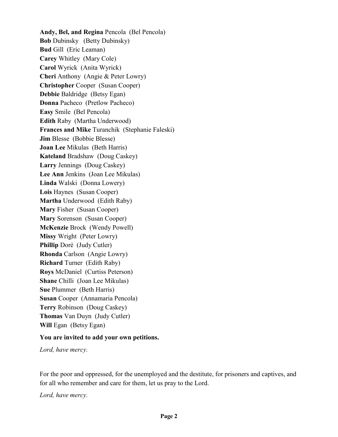**Andy, Bel, and Regina** Pencola (Bel Pencola) **Bob** Dubinsky (Betty Dubinsky) **Bud** Gill (Eric Leaman) **Carey** Whitley (Mary Cole) **Carol** Wyrick (Anita Wyrick) **Cheri** Anthony (Angie & Peter Lowry) **Christopher** Cooper (Susan Cooper) **Debbie** Baldridge (Betsy Egan) **Donna** Pacheco (Pretlow Pacheco) **Easy** Smile (Bel Pencola) **Edith** Raby (Martha Underwood) **Frances and Mike** Turanchik (Stephanie Faleski) **Jim** Blesse (Bobbie Blesse) **Joan Lee** Mikulas (Beth Harris) **Kateland** Bradshaw (Doug Caskey) **Larry** Jennings (Doug Caskey) **Lee Ann** Jenkins (Joan Lee Mikulas) **Linda** Walski (Donna Lowery) **Lois** Haynes (Susan Cooper) **Martha** Underwood (Edith Raby) **Mary** Fisher (Susan Cooper) **Mary** Sorenson (Susan Cooper) **McKenzie** Brock (Wendy Powell) **Missy** Wright (Peter Lowry) **Phillip** Dore (Judy Cutler) **Rhonda** Carlson (Angie Lowry) **Richard** Turner (Edith Raby) **Roys** McDaniel (Curtiss Peterson) **Shane** Chilli (Joan Lee Mikulas) **Sue** Plummer (Beth Harris) **Susan** Cooper (Annamaria Pencola) **Terry** Robinson (Doug Caskey) **Thomas** Van Duyn (Judy Cutler) **Will Egan** (Betsy Egan)

## **You are invited to add your own petitions.**

*Lord, have mercy.*

For the poor and oppressed, for the unemployed and the destitute, for prisoners and captives, and for all who remember and care for them, let us pray to the Lord.

*Lord, have mercy.*